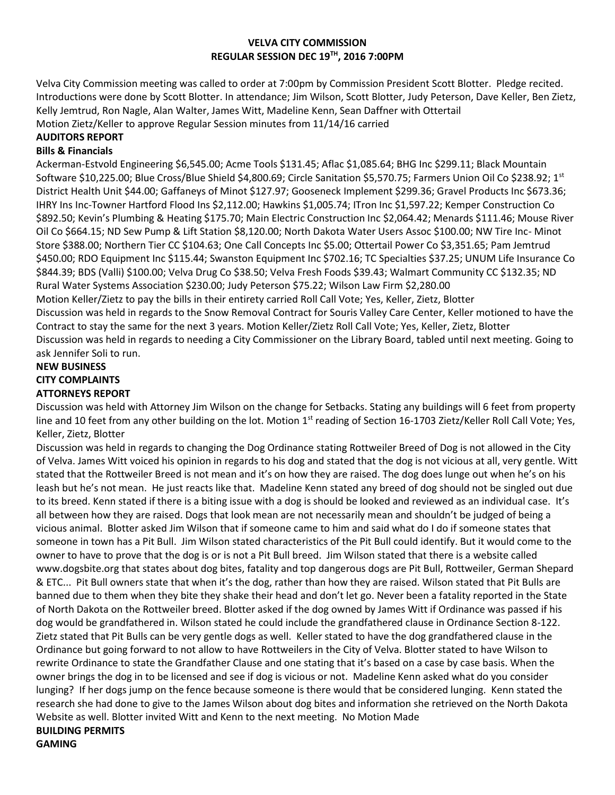### **VELVA CITY COMMISSION REGULAR SESSION DEC 19TH, 2016 7:00PM**

Velva City Commission meeting was called to order at 7:00pm by Commission President Scott Blotter. Pledge recited. Introductions were done by Scott Blotter. In attendance; Jim Wilson, Scott Blotter, Judy Peterson, Dave Keller, Ben Zietz, Kelly Jemtrud, Ron Nagle, Alan Walter, James Witt, Madeline Kenn, Sean Daffner with Ottertail Motion Zietz/Keller to approve Regular Session minutes from 11/14/16 carried

## **AUDITORS REPORT**

## **Bills & Financials**

Ackerman-Estvold Engineering \$6,545.00; Acme Tools \$131.45; Aflac \$1,085.64; BHG Inc \$299.11; Black Mountain Software \$10,225.00; Blue Cross/Blue Shield \$4,800.69; Circle Sanitation \$5,570.75; Farmers Union Oil Co \$238.92; 1<sup>st</sup> District Health Unit \$44.00; Gaffaneys of Minot \$127.97; Gooseneck Implement \$299.36; Gravel Products Inc \$673.36; IHRY Ins Inc-Towner Hartford Flood Ins \$2,112.00; Hawkins \$1,005.74; ITron Inc \$1,597.22; Kemper Construction Co \$892.50; Kevin's Plumbing & Heating \$175.70; Main Electric Construction Inc \$2,064.42; Menards \$111.46; Mouse River Oil Co \$664.15; ND Sew Pump & Lift Station \$8,120.00; North Dakota Water Users Assoc \$100.00; NW Tire Inc- Minot Store \$388.00; Northern Tier CC \$104.63; One Call Concepts Inc \$5.00; Ottertail Power Co \$3,351.65; Pam Jemtrud \$450.00; RDO Equipment Inc \$115.44; Swanston Equipment Inc \$702.16; TC Specialties \$37.25; UNUM Life Insurance Co \$844.39; BDS (Valli) \$100.00; Velva Drug Co \$38.50; Velva Fresh Foods \$39.43; Walmart Community CC \$132.35; ND Rural Water Systems Association \$230.00; Judy Peterson \$75.22; Wilson Law Firm \$2,280.00 Motion Keller/Zietz to pay the bills in their entirety carried Roll Call Vote; Yes, Keller, Zietz, Blotter Discussion was held in regards to the Snow Removal Contract for Souris Valley Care Center, Keller motioned to have the Contract to stay the same for the next 3 years. Motion Keller/Zietz Roll Call Vote; Yes, Keller, Zietz, Blotter Discussion was held in regards to needing a City Commissioner on the Library Board, tabled until next meeting. Going to ask Jennifer Soli to run.

# **NEW BUSINESS CITY COMPLAINTS ATTORNEYS REPORT**

Discussion was held with Attorney Jim Wilson on the change for Setbacks. Stating any buildings will 6 feet from property line and 10 feet from any other building on the lot. Motion  $1<sup>st</sup>$  reading of Section 16-1703 Zietz/Keller Roll Call Vote; Yes, Keller, Zietz, Blotter

Discussion was held in regards to changing the Dog Ordinance stating Rottweiler Breed of Dog is not allowed in the City of Velva. James Witt voiced his opinion in regards to his dog and stated that the dog is not vicious at all, very gentle. Witt stated that the Rottweiler Breed is not mean and it's on how they are raised. The dog does lunge out when he's on his leash but he's not mean. He just reacts like that. Madeline Kenn stated any breed of dog should not be singled out due to its breed. Kenn stated if there is a biting issue with a dog is should be looked and reviewed as an individual case. It's all between how they are raised. Dogs that look mean are not necessarily mean and shouldn't be judged of being a vicious animal. Blotter asked Jim Wilson that if someone came to him and said what do I do if someone states that someone in town has a Pit Bull. Jim Wilson stated characteristics of the Pit Bull could identify. But it would come to the owner to have to prove that the dog is or is not a Pit Bull breed. Jim Wilson stated that there is a website called www.dogsbite.org that states about dog bites, fatality and top dangerous dogs are Pit Bull, Rottweiler, German Shepard & ETC... Pit Bull owners state that when it's the dog, rather than how they are raised. Wilson stated that Pit Bulls are banned due to them when they bite they shake their head and don't let go. Never been a fatality reported in the State of North Dakota on the Rottweiler breed. Blotter asked if the dog owned by James Witt if Ordinance was passed if his dog would be grandfathered in. Wilson stated he could include the grandfathered clause in Ordinance Section 8-122. Zietz stated that Pit Bulls can be very gentle dogs as well. Keller stated to have the dog grandfathered clause in the Ordinance but going forward to not allow to have Rottweilers in the City of Velva. Blotter stated to have Wilson to rewrite Ordinance to state the Grandfather Clause and one stating that it's based on a case by case basis. When the owner brings the dog in to be licensed and see if dog is vicious or not. Madeline Kenn asked what do you consider lunging? If her dogs jump on the fence because someone is there would that be considered lunging. Kenn stated the research she had done to give to the James Wilson about dog bites and information she retrieved on the North Dakota Website as well. Blotter invited Witt and Kenn to the next meeting. No Motion Made **BUILDING PERMITS GAMING**